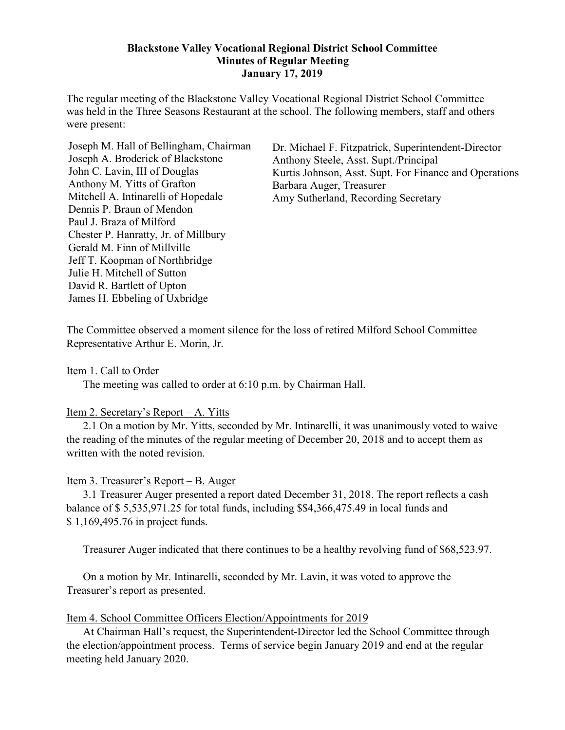### **Blackstone Valley Vocational Regional District School Committee Minutes of Regular Meeting January 17, 2019**

The regular meeting of the Blackstone Valley Vocational Regional District School Committee was held in the Three Seasons Restaurant at the school. The following members, staff and others were present:

Joseph M. Hall of Bellingham, Chairman Joseph A. Broderick of Blackstone John C. Lavin, III of Douglas Anthony M. Yitts of Grafton Mitchell A. Intinarelli of Hopedale Dennis P. Braun of Mendon Paul J. Braza of Milford Chester P. Hanratty, Jr. of Millbury Gerald M. Finn of Millville Jeff T. Koopman of Northbridge Julie H. Mitchell of Sutton David R. Bartlett of Upton James H. Ebbeling of Uxbridge

Dr. Michael F. Fitzpatrick, Superintendent-Director Anthony Steele, Asst. Supt./Principal Kurtis Johnson, Asst. Supt. For Finance and Operations Barbara Auger, Treasurer Amy Sutherland, Recording Secretary

The Committee observed a moment silence for the loss of retired Milford School Committee Representative Arthur E. Morin, Jr.

Item 1. Call to Order

The meeting was called to order at 6:10 p.m. by Chairman Hall.

### Item 2. Secretary's Report – A. Yitts

2.1 On a motion by Mr. Yitts, seconded by Mr. Intinarelli, it was unanimously voted to waive the reading of the minutes of the regular meeting of December 20, 2018 and to accept them as written with the noted revision.

### Item 3. Treasurer's Report – B. Auger

3.1 Treasurer Auger presented a report dated December 31, 2018. The report reflects a cash balance of \$ 5,535,971.25 for total funds, including \$\$4,366,475.49 in local funds and \$ 1,169,495.76 in project funds.

Treasurer Auger indicated that there continues to be a healthy revolving fund of \$68,523.97.

On a motion by Mr. Intinarelli, seconded by Mr. Lavin, it was voted to approve the Treasurer's report as presented.

### Item 4. School Committee Officers Election/Appointments for 2019

At Chairman Hall's request, the Superintendent-Director led the School Committee through the election/appointment process. Terms of service begin January 2019 and end at the regular meeting held January 2020.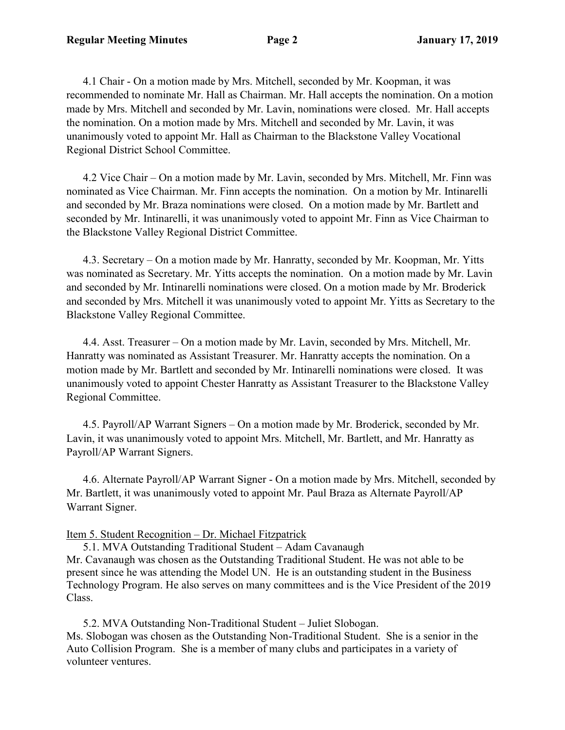4.1 Chair - On a motion made by Mrs. Mitchell, seconded by Mr. Koopman, it was recommended to nominate Mr. Hall as Chairman. Mr. Hall accepts the nomination. On a motion made by Mrs. Mitchell and seconded by Mr. Lavin, nominations were closed. Mr. Hall accepts the nomination. On a motion made by Mrs. Mitchell and seconded by Mr. Lavin, it was unanimously voted to appoint Mr. Hall as Chairman to the Blackstone Valley Vocational Regional District School Committee.

4.2 Vice Chair – On a motion made by Mr. Lavin, seconded by Mrs. Mitchell, Mr. Finn was nominated as Vice Chairman. Mr. Finn accepts the nomination. On a motion by Mr. Intinarelli and seconded by Mr. Braza nominations were closed. On a motion made by Mr. Bartlett and seconded by Mr. Intinarelli, it was unanimously voted to appoint Mr. Finn as Vice Chairman to the Blackstone Valley Regional District Committee.

4.3. Secretary – On a motion made by Mr. Hanratty, seconded by Mr. Koopman, Mr. Yitts was nominated as Secretary. Mr. Yitts accepts the nomination. On a motion made by Mr. Lavin and seconded by Mr. Intinarelli nominations were closed. On a motion made by Mr. Broderick and seconded by Mrs. Mitchell it was unanimously voted to appoint Mr. Yitts as Secretary to the Blackstone Valley Regional Committee.

4.4. Asst. Treasurer – On a motion made by Mr. Lavin, seconded by Mrs. Mitchell, Mr. Hanratty was nominated as Assistant Treasurer. Mr. Hanratty accepts the nomination. On a motion made by Mr. Bartlett and seconded by Mr. Intinarelli nominations were closed. It was unanimously voted to appoint Chester Hanratty as Assistant Treasurer to the Blackstone Valley Regional Committee.

4.5. Payroll/AP Warrant Signers – On a motion made by Mr. Broderick, seconded by Mr. Lavin, it was unanimously voted to appoint Mrs. Mitchell, Mr. Bartlett, and Mr. Hanratty as Payroll/AP Warrant Signers.

4.6. Alternate Payroll/AP Warrant Signer - On a motion made by Mrs. Mitchell, seconded by Mr. Bartlett, it was unanimously voted to appoint Mr. Paul Braza as Alternate Payroll/AP Warrant Signer.

# Item 5. Student Recognition – Dr. Michael Fitzpatrick

5.1. MVA Outstanding Traditional Student – Adam Cavanaugh Mr. Cavanaugh was chosen as the Outstanding Traditional Student. He was not able to be present since he was attending the Model UN. He is an outstanding student in the Business Technology Program. He also serves on many committees and is the Vice President of the 2019 Class.

5.2. MVA Outstanding Non-Traditional Student – Juliet Slobogan. Ms. Slobogan was chosen as the Outstanding Non-Traditional Student. She is a senior in the Auto Collision Program. She is a member of many clubs and participates in a variety of volunteer ventures.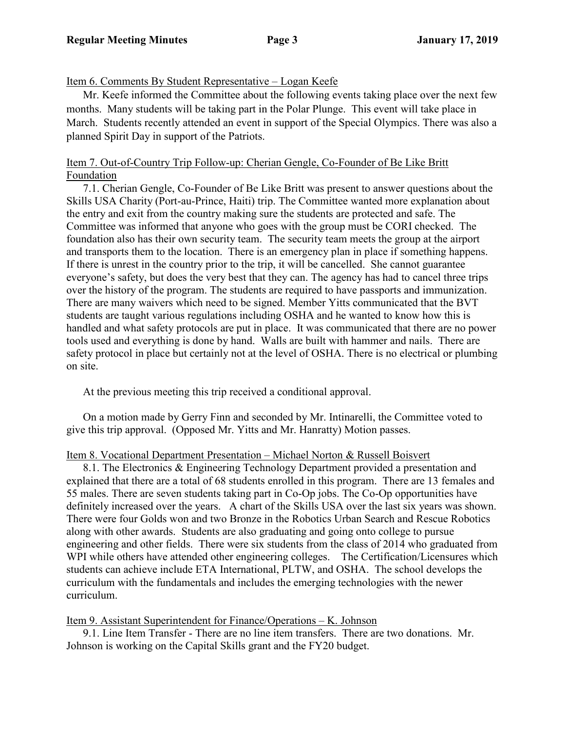## Item 6. Comments By Student Representative – Logan Keefe

Mr. Keefe informed the Committee about the following events taking place over the next few months. Many students will be taking part in the Polar Plunge. This event will take place in March. Students recently attended an event in support of the Special Olympics. There was also a planned Spirit Day in support of the Patriots.

## Item 7. Out-of-Country Trip Follow-up: Cherian Gengle, Co-Founder of Be Like Britt Foundation

7.1. Cherian Gengle, Co-Founder of Be Like Britt was present to answer questions about the Skills USA Charity (Port-au-Prince, Haiti) trip. The Committee wanted more explanation about the entry and exit from the country making sure the students are protected and safe. The Committee was informed that anyone who goes with the group must be CORI checked. The foundation also has their own security team. The security team meets the group at the airport and transports them to the location. There is an emergency plan in place if something happens. If there is unrest in the country prior to the trip, it will be cancelled. She cannot guarantee everyone's safety, but does the very best that they can. The agency has had to cancel three trips over the history of the program. The students are required to have passports and immunization. There are many waivers which need to be signed. Member Yitts communicated that the BVT students are taught various regulations including OSHA and he wanted to know how this is handled and what safety protocols are put in place. It was communicated that there are no power tools used and everything is done by hand. Walls are built with hammer and nails. There are safety protocol in place but certainly not at the level of OSHA. There is no electrical or plumbing on site.

At the previous meeting this trip received a conditional approval.

On a motion made by Gerry Finn and seconded by Mr. Intinarelli, the Committee voted to give this trip approval. (Opposed Mr. Yitts and Mr. Hanratty) Motion passes.

### Item 8. Vocational Department Presentation – Michael Norton & Russell Boisvert

8.1. The Electronics & Engineering Technology Department provided a presentation and explained that there are a total of 68 students enrolled in this program. There are 13 females and 55 males. There are seven students taking part in Co-Op jobs. The Co-Op opportunities have definitely increased over the years. A chart of the Skills USA over the last six years was shown. There were four Golds won and two Bronze in the Robotics Urban Search and Rescue Robotics along with other awards. Students are also graduating and going onto college to pursue engineering and other fields. There were six students from the class of 2014 who graduated from WPI while others have attended other engineering colleges. The Certification/Licensures which students can achieve include ETA International, PLTW, and OSHA. The school develops the curriculum with the fundamentals and includes the emerging technologies with the newer curriculum.

Item 9. Assistant Superintendent for Finance/Operations – K. Johnson

9.1. Line Item Transfer - There are no line item transfers. There are two donations. Mr. Johnson is working on the Capital Skills grant and the FY20 budget.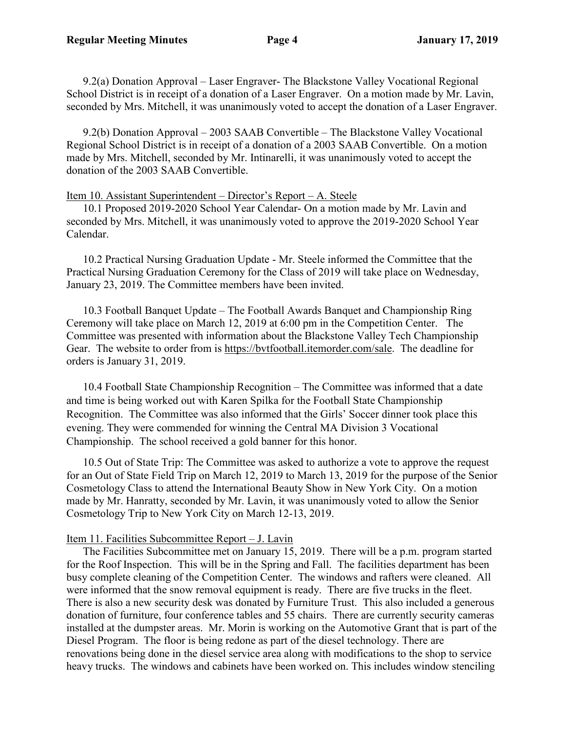9.2(a) Donation Approval – Laser Engraver- The Blackstone Valley Vocational Regional School District is in receipt of a donation of a Laser Engraver. On a motion made by Mr. Lavin, seconded by Mrs. Mitchell, it was unanimously voted to accept the donation of a Laser Engraver.

9.2(b) Donation Approval – 2003 SAAB Convertible – The Blackstone Valley Vocational Regional School District is in receipt of a donation of a 2003 SAAB Convertible. On a motion made by Mrs. Mitchell, seconded by Mr. Intinarelli, it was unanimously voted to accept the donation of the 2003 SAAB Convertible.

#### Item 10. Assistant Superintendent – Director's Report – A. Steele

10.1 Proposed 2019-2020 School Year Calendar- On a motion made by Mr. Lavin and seconded by Mrs. Mitchell, it was unanimously voted to approve the 2019-2020 School Year Calendar.

10.2 Practical Nursing Graduation Update - Mr. Steele informed the Committee that the Practical Nursing Graduation Ceremony for the Class of 2019 will take place on Wednesday, January 23, 2019. The Committee members have been invited.

10.3 Football Banquet Update – The Football Awards Banquet and Championship Ring Ceremony will take place on March 12, 2019 at 6:00 pm in the Competition Center. The Committee was presented with information about the Blackstone Valley Tech Championship Gear. The website to order from is [https://bvtfootball.itemorder.com/sale.](https://bvtfootball.itemorder.com/sale) The deadline for orders is January 31, 2019.

10.4 Football State Championship Recognition – The Committee was informed that a date and time is being worked out with Karen Spilka for the Football State Championship Recognition. The Committee was also informed that the Girls' Soccer dinner took place this evening. They were commended for winning the Central MA Division 3 Vocational Championship. The school received a gold banner for this honor.

 10.5 Out of State Trip: The Committee was asked to authorize a vote to approve the request for an Out of State Field Trip on March 12, 2019 to March 13, 2019 for the purpose of the Senior Cosmetology Class to attend the International Beauty Show in New York City. On a motion made by Mr. Hanratty, seconded by Mr. Lavin, it was unanimously voted to allow the Senior Cosmetology Trip to New York City on March 12-13, 2019.

#### Item 11. Facilities Subcommittee Report – J. Lavin

The Facilities Subcommittee met on January 15, 2019. There will be a p.m. program started for the Roof Inspection. This will be in the Spring and Fall. The facilities department has been busy complete cleaning of the Competition Center. The windows and rafters were cleaned. All were informed that the snow removal equipment is ready. There are five trucks in the fleet. There is also a new security desk was donated by Furniture Trust. This also included a generous donation of furniture, four conference tables and 55 chairs. There are currently security cameras installed at the dumpster areas. Mr. Morin is working on the Automotive Grant that is part of the Diesel Program. The floor is being redone as part of the diesel technology. There are renovations being done in the diesel service area along with modifications to the shop to service heavy trucks. The windows and cabinets have been worked on. This includes window stenciling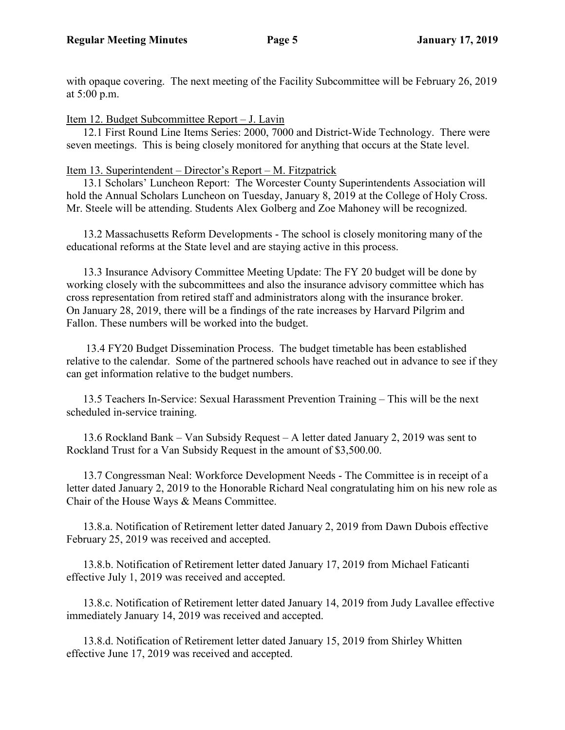with opaque covering. The next meeting of the Facility Subcommittee will be February 26, 2019 at 5:00 p.m.

Item 12. Budget Subcommittee Report – J. Lavin

12.1 First Round Line Items Series: 2000, 7000 and District-Wide Technology. There were seven meetings. This is being closely monitored for anything that occurs at the State level.

Item 13. Superintendent – Director's Report – M. Fitzpatrick

13.1 Scholars' Luncheon Report: The Worcester County Superintendents Association will hold the Annual Scholars Luncheon on Tuesday, January 8, 2019 at the College of Holy Cross. Mr. Steele will be attending. Students Alex Golberg and Zoe Mahoney will be recognized.

13.2 Massachusetts Reform Developments - The school is closely monitoring many of the educational reforms at the State level and are staying active in this process.

13.3 Insurance Advisory Committee Meeting Update: The FY 20 budget will be done by working closely with the subcommittees and also the insurance advisory committee which has cross representation from retired staff and administrators along with the insurance broker. On January 28, 2019, there will be a findings of the rate increases by Harvard Pilgrim and Fallon. These numbers will be worked into the budget.

 13.4 FY20 Budget Dissemination Process. The budget timetable has been established relative to the calendar. Some of the partnered schools have reached out in advance to see if they can get information relative to the budget numbers.

13.5 Teachers In-Service: Sexual Harassment Prevention Training – This will be the next scheduled in-service training.

13.6 Rockland Bank – Van Subsidy Request – A letter dated January 2, 2019 was sent to Rockland Trust for a Van Subsidy Request in the amount of \$3,500.00.

13.7 Congressman Neal: Workforce Development Needs - The Committee is in receipt of a letter dated January 2, 2019 to the Honorable Richard Neal congratulating him on his new role as Chair of the House Ways & Means Committee.

13.8.a. Notification of Retirement letter dated January 2, 2019 from Dawn Dubois effective February 25, 2019 was received and accepted.

13.8.b. Notification of Retirement letter dated January 17, 2019 from Michael Faticanti effective July 1, 2019 was received and accepted.

13.8.c. Notification of Retirement letter dated January 14, 2019 from Judy Lavallee effective immediately January 14, 2019 was received and accepted.

13.8.d. Notification of Retirement letter dated January 15, 2019 from Shirley Whitten effective June 17, 2019 was received and accepted.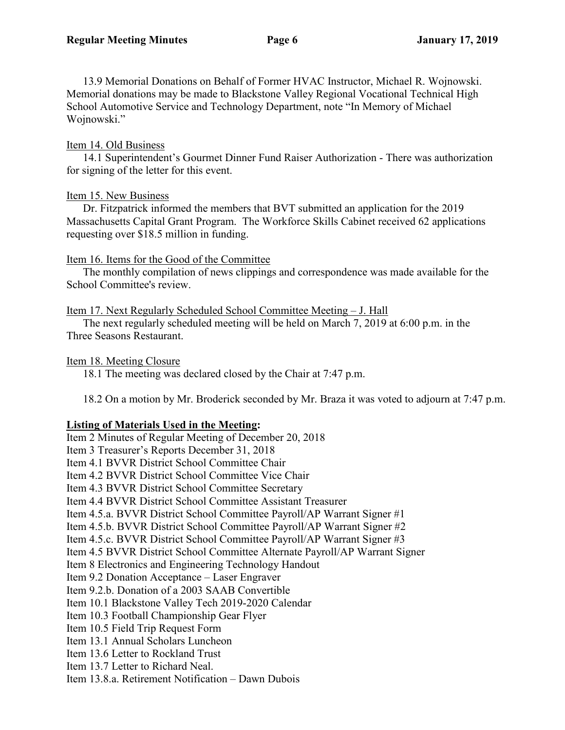13.9 Memorial Donations on Behalf of Former HVAC Instructor, Michael R. Wojnowski. Memorial donations may be made to Blackstone Valley Regional Vocational Technical High School Automotive Service and Technology Department, note "In Memory of Michael Wojnowski."

## Item 14. Old Business

14.1 Superintendent's Gourmet Dinner Fund Raiser Authorization - There was authorization for signing of the letter for this event.

## Item 15. New Business

Dr. Fitzpatrick informed the members that BVT submitted an application for the 2019 Massachusetts Capital Grant Program. The Workforce Skills Cabinet received 62 applications requesting over \$18.5 million in funding.

## Item 16. Items for the Good of the Committee

The monthly compilation of news clippings and correspondence was made available for the School Committee's review.

## Item 17. Next Regularly Scheduled School Committee Meeting – J. Hall

The next regularly scheduled meeting will be held on March 7, 2019 at 6:00 p.m. in the Three Seasons Restaurant.

### Item 18. Meeting Closure

18.1 The meeting was declared closed by the Chair at 7:47 p.m.

18.2 On a motion by Mr. Broderick seconded by Mr. Braza it was voted to adjourn at 7:47 p.m.

# **Listing of Materials Used in the Meeting:**

Item 2 Minutes of Regular Meeting of December 20, 2018 Item 3 Treasurer's Reports December 31, 2018 Item 4.1 BVVR District School Committee Chair Item 4.2 BVVR District School Committee Vice Chair Item 4.3 BVVR District School Committee Secretary Item 4.4 BVVR District School Committee Assistant Treasurer Item 4.5.a. BVVR District School Committee Payroll/AP Warrant Signer #1 Item 4.5.b. BVVR District School Committee Payroll/AP Warrant Signer #2 Item 4.5.c. BVVR District School Committee Payroll/AP Warrant Signer #3 Item 4.5 BVVR District School Committee Alternate Payroll/AP Warrant Signer Item 8 Electronics and Engineering Technology Handout Item 9.2 Donation Acceptance – Laser Engraver Item 9.2.b. Donation of a 2003 SAAB Convertible Item 10.1 Blackstone Valley Tech 2019-2020 Calendar Item 10.3 Football Championship Gear Flyer Item 10.5 Field Trip Request Form Item 13.1 Annual Scholars Luncheon Item 13.6 Letter to Rockland Trust Item 13.7 Letter to Richard Neal. Item 13.8.a. Retirement Notification – Dawn Dubois